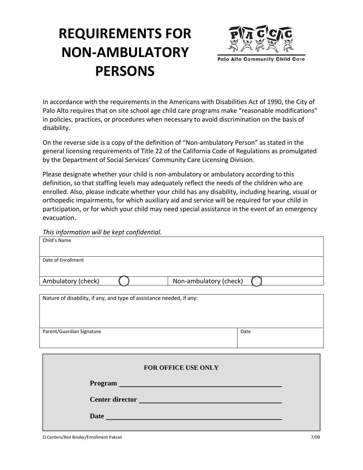# **REQUIREMENTS FOR NON‐AMBULATORY PERSONS**



In accordance with the requirements in the Americans with Disabilities Act of 1990, the City of Palo Alto requires that on site school age child care programs make "reasonable modifications" in policies, practices, or procedures when necessary to avoid discrimination on the basis of disability.

On the reverse side is a copy of the definition of "Non‐ambulatory Person" as stated in the general licensing requirements of Title 22 of the California Code of Regulations as promulgated by the Department of Social Services' Community Care Licensing Division.

Please designate whether your child is non-ambulatory or ambulatory according to this definition, so that staffing levels may adequately reflect the needs of the children who are enrolled. Also, please indicate whether your child has any disability, including hearing, visual or orthopedic impairments, for which auxiliary aid and service will be required for your child in participation, or for which your child may need special assistance in the event of an emergency evacuation.

*This information will be kept confidential.*

| Child's Name                                                         |                        |      |
|----------------------------------------------------------------------|------------------------|------|
|                                                                      |                        |      |
| Date of Enrollment                                                   |                        |      |
|                                                                      |                        |      |
| Ambulatory (check)                                                   | Non-ambulatory (check) |      |
|                                                                      |                        |      |
| Nature of disability, if any, and type of assistance needed, if any: |                        |      |
|                                                                      |                        |      |
|                                                                      |                        |      |
| Parent/Guardian Signature                                            |                        | Date |
|                                                                      |                        |      |
|                                                                      |                        |      |
|                                                                      |                        |      |
| FOR OFFICE USE ONLY                                                  |                        |      |
| Program                                                              |                        |      |
|                                                                      |                        |      |
|                                                                      |                        |      |
| <b>Date</b>                                                          |                        |      |
|                                                                      |                        |      |